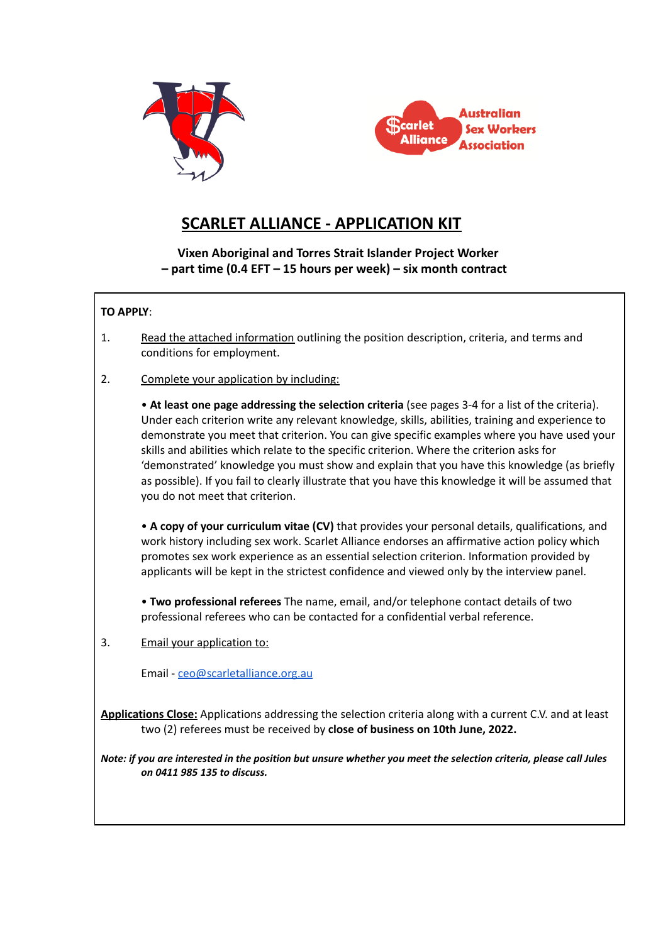



# **SCARLET ALLIANCE - APPLICATION KIT**

**Vixen Aboriginal and Torres Strait Islander Project Worker – part time (0.4 EFT – 15 hours per week) – six month contract**

#### **TO APPLY**:

- 1. Read the attached information outlining the position description, criteria, and terms and conditions for employment.
- 2. Complete your application by including:

• **At least one page addressing the selection criteria** (see pages 3-4 for a list of the criteria). Under each criterion write any relevant knowledge, skills, abilities, training and experience to demonstrate you meet that criterion. You can give specific examples where you have used your skills and abilities which relate to the specific criterion. Where the criterion asks for 'demonstrated' knowledge you must show and explain that you have this knowledge (as briefly as possible). If you fail to clearly illustrate that you have this knowledge it will be assumed that you do not meet that criterion.

• **A copy of your curriculum vitae (CV)** that provides your personal details, qualifications, and work history including sex work. Scarlet Alliance endorses an affirmative action policy which promotes sex work experience as an essential selection criterion. Information provided by applicants will be kept in the strictest confidence and viewed only by the interview panel.

• **Two professional referees** The name, email, and/or telephone contact details of two professional referees who can be contacted for a confidential verbal reference.

3. Email your application to:

Email - [ceo@scarletalliance.org.au](mailto:ceo@scarletalliance.org.au)

**Applications Close:** Applications addressing the selection criteria along with a current C.V. and at least two (2) referees must be received by **close of business on 10th June, 2022.**

*Note: if you are interested in the position but unsure whether you meet the selection criteria, please call Jules on 0411 985 135 to discuss.*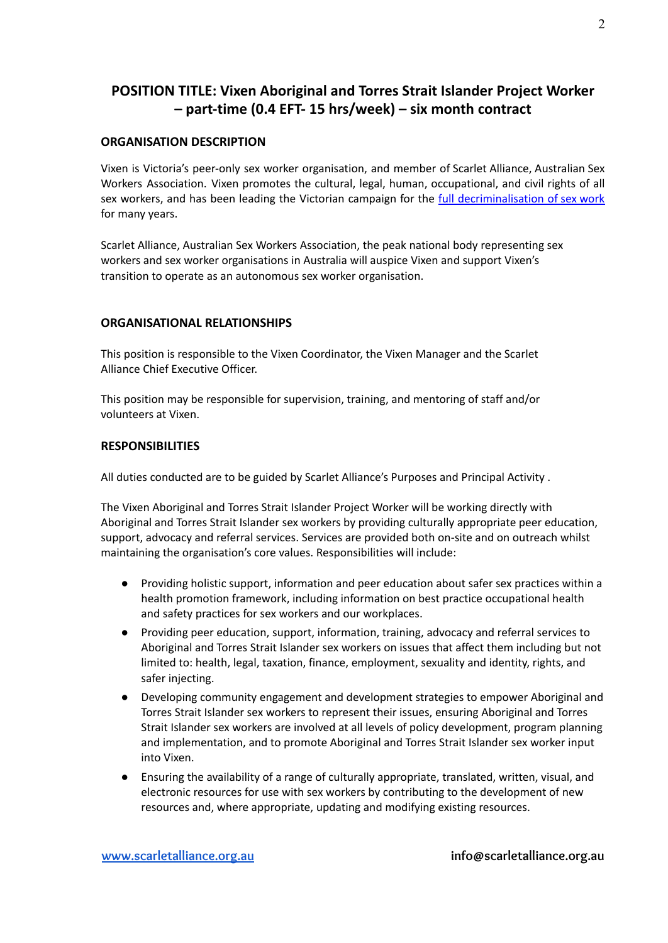## **POSITION TITLE: Vixen Aboriginal and Torres Strait Islander Project Worker – part-time (0.4 EFT- 15 hrs/week) – six month contract**

### **ORGANISATION DESCRIPTION**

Vixen is Victoria's peer-only sex worker organisation, and member of Scarlet Alliance, Australian Sex Workers Association. Vixen promotes the cultural, legal, human, occupational, and civil rights of all sex workers, and has been leading the Victorian campaign for the [full decriminalisation of sex work](https://scarletalliance.org.au/library/briefing_paper_full_decrim) for many years.

Scarlet Alliance, Australian Sex Workers Association, the peak national body representing sex workers and sex worker organisations in Australia will auspice Vixen and support Vixen's transition to operate as an autonomous sex worker organisation.

#### **ORGANISATIONAL RELATIONSHIPS**

This position is responsible to the Vixen Coordinator, the Vixen Manager and the Scarlet Alliance Chief Executive Officer.

This position may be responsible for supervision, training, and mentoring of staff and/or volunteers at Vixen.

#### **RESPONSIBILITIES**

All duties conducted are to be guided by Scarlet Alliance's Purposes and Principal Activity .

The Vixen Aboriginal and Torres Strait Islander Project Worker will be working directly with Aboriginal and Torres Strait Islander sex workers by providing culturally appropriate peer education, support, advocacy and referral services. Services are provided both on-site and on outreach whilst maintaining the organisation's core values. Responsibilities will include:

- Providing holistic support, information and peer education about safer sex practices within a health promotion framework, including information on best practice occupational health and safety practices for sex workers and our workplaces.
- Providing peer education, support, information, training, advocacy and referral services to Aboriginal and Torres Strait Islander sex workers on issues that affect them including but not limited to: health, legal, taxation, finance, employment, sexuality and identity, rights, and safer injecting.
- Developing community engagement and development strategies to empower Aboriginal and Torres Strait Islander sex workers to represent their issues, ensuring Aboriginal and Torres Strait Islander sex workers are involved at all levels of policy development, program planning and implementation, and to promote Aboriginal and Torres Strait Islander sex worker input into Vixen.
- Ensuring the availability of a range of culturally appropriate, translated, written, visual, and electronic resources for use with sex workers by contributing to the development of new resources and, where appropriate, updating and modifying existing resources.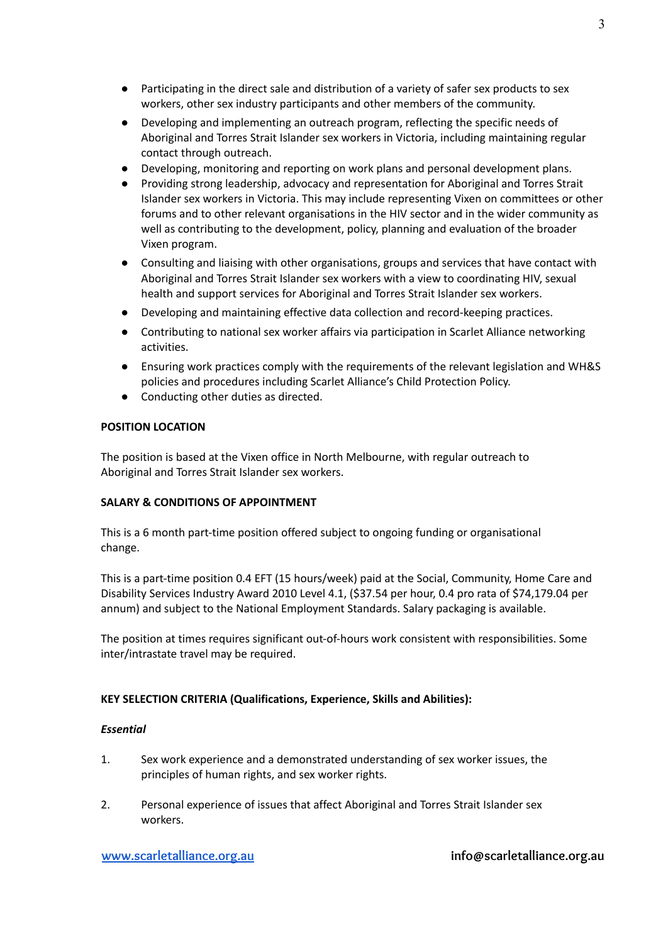- Participating in the direct sale and distribution of a variety of safer sex products to sex workers, other sex industry participants and other members of the community.
- Developing and implementing an outreach program, reflecting the specific needs of Aboriginal and Torres Strait Islander sex workers in Victoria, including maintaining regular contact through outreach.
- Developing, monitoring and reporting on work plans and personal development plans.
- Providing strong leadership, advocacy and representation for Aboriginal and Torres Strait Islander sex workers in Victoria. This may include representing Vixen on committees or other forums and to other relevant organisations in the HIV sector and in the wider community as well as contributing to the development, policy, planning and evaluation of the broader Vixen program.
- Consulting and liaising with other organisations, groups and services that have contact with Aboriginal and Torres Strait Islander sex workers with a view to coordinating HIV, sexual health and support services for Aboriginal and Torres Strait Islander sex workers.
- Developing and maintaining effective data collection and record-keeping practices.
- Contributing to national sex worker affairs via participation in Scarlet Alliance networking activities.
- Ensuring work practices comply with the requirements of the relevant legislation and WH&S policies and procedures including Scarlet Alliance's Child Protection Policy.
- Conducting other duties as directed.

#### **POSITION LOCATION**

The position is based at the Vixen office in North Melbourne, with regular outreach to Aboriginal and Torres Strait Islander sex workers.

#### **SALARY & CONDITIONS OF APPOINTMENT**

This is a 6 month part-time position offered subject to ongoing funding or organisational change.

This is a part-time position 0.4 EFT (15 hours/week) paid at the Social, Community, Home Care and Disability Services Industry Award 2010 Level 4.1, (\$37.54 per hour, 0.4 pro rata of \$74,179.04 per annum) and subject to the National Employment Standards. Salary packaging is available.

The position at times requires significant out-of-hours work consistent with responsibilities. Some inter/intrastate travel may be required.

#### **KEY SELECTION CRITERIA (Qualifications, Experience, Skills and Abilities):**

#### *Essential*

- 1. Sex work experience and a demonstrated understanding of sex worker issues, the principles of human rights, and sex worker rights.
- 2. Personal experience of issues that affect Aboriginal and Torres Strait Islander sex workers.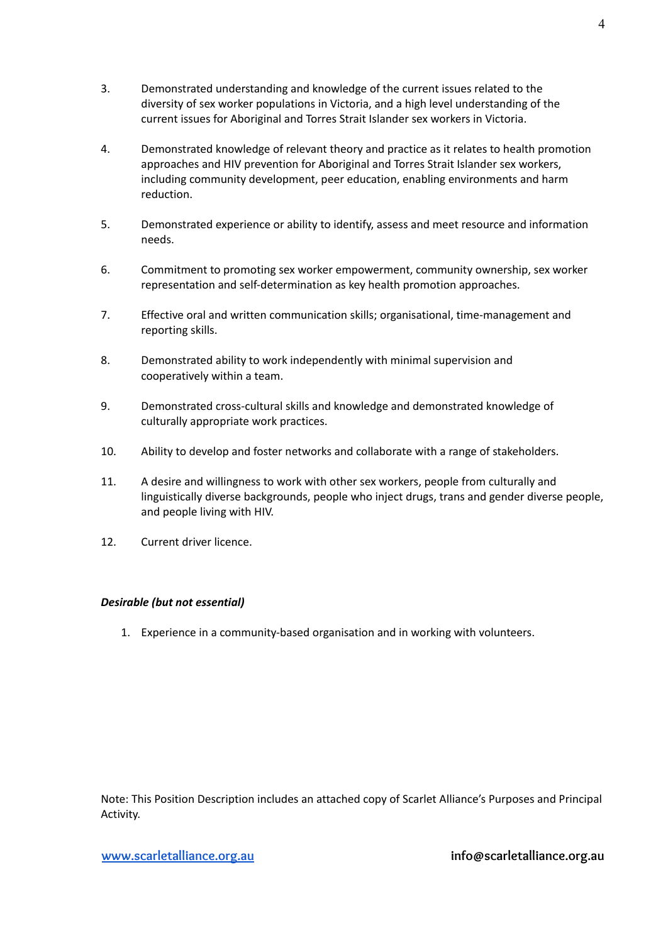- 3. Demonstrated understanding and knowledge of the current issues related to the diversity of sex worker populations in Victoria, and a high level understanding of the current issues for Aboriginal and Torres Strait Islander sex workers in Victoria.
- 4. Demonstrated knowledge of relevant theory and practice as it relates to health promotion approaches and HIV prevention for Aboriginal and Torres Strait Islander sex workers, including community development, peer education, enabling environments and harm reduction.
- 5. Demonstrated experience or ability to identify, assess and meet resource and information needs.
- 6. Commitment to promoting sex worker empowerment, community ownership, sex worker representation and self-determination as key health promotion approaches.
- 7. Effective oral and written communication skills; organisational, time-management and reporting skills.
- 8. Demonstrated ability to work independently with minimal supervision and cooperatively within a team.
- 9. Demonstrated cross-cultural skills and knowledge and demonstrated knowledge of culturally appropriate work practices.
- 10. Ability to develop and foster networks and collaborate with a range of stakeholders.
- 11. A desire and willingness to work with other sex workers, people from culturally and linguistically diverse backgrounds, people who inject drugs, trans and gender diverse people, and people living with HIV.
- 12. Current driver licence.

#### *Desirable (but not essential)*

1. Experience in a community-based organisation and in working with volunteers.

Note: This Position Description includes an attached copy of Scarlet Alliance's Purposes and Principal Activity.